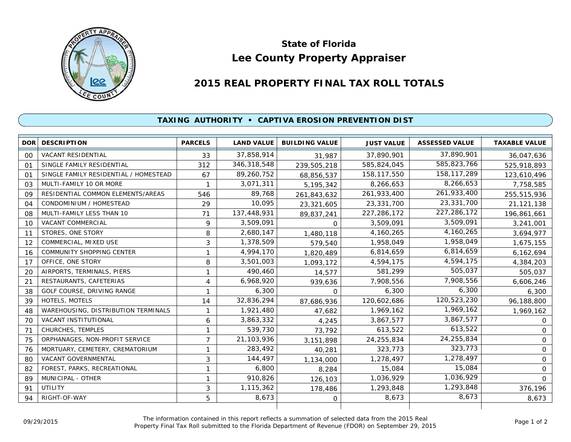

## **Lee County Property Appraiser State of Florida**

## **2015 REAL PROPERTY FINAL TAX ROLL TOTALS**

## **TAXING AUTHORITY • CAPTIVA EROSION PREVENTION DIST**

|            | <b>DOR DESCRIPTION</b>                | <b>PARCELS</b> | <b>LAND VALUE</b> | <b>BUILDING VALUE</b> | <b>JUST VALUE</b> | <b>ASSESSED VALUE</b> | <b>TAXABLE VALUE</b> |
|------------|---------------------------------------|----------------|-------------------|-----------------------|-------------------|-----------------------|----------------------|
| 00         | <b>VACANT RESIDENTIAL</b>             | 33             | 37,858,914        | 31,987                | 37,890,901        | 37,890,901            | 36,047,636           |
| 01         | SINGLE FAMILY RESIDENTIAL             | 312            | 346,318,548       | 239,505,218           | 585,824,045       | 585,823,766           | 525,918,893          |
| $\Omega$ 1 | SINGLE FAMILY RESIDENTIAL / HOMESTEAD | 67             | 89,260,752        | 68,856,537            | 158,117,550       | 158, 117, 289         | 123,610,496          |
| 03         | MULTI-FAMILY 10 OR MORE               |                | 3,071,311         | 5, 195, 342           | 8,266,653         | 8,266,653             | 7,758,585            |
| 09         | RESIDENTIAL COMMON ELEMENTS/AREAS     | 546            | 89,768            | 261,843,632           | 261,933,400       | 261,933,400           | 255,515,936          |
| 04         | CONDOMINIUM / HOMESTEAD               | 29             | 10,095            | 23,321,605            | 23,331,700        | 23,331,700            | 21,121,138           |
| 08         | MULTI-FAMILY LESS THAN 10             | 71             | 137,448,931       | 89,837,241            | 227, 286, 172     | 227,286,172           | 196,861,661          |
| 10         | <b>VACANT COMMERCIAL</b>              | 9              | 3,509,091         | 0                     | 3,509,091         | 3,509,091             | 3,241,001            |
| 11         | STORES, ONE STORY                     | 8              | 2,680,147         | 1,480,118             | 4,160,265         | 4,160,265             | 3,694,977            |
| 12         | COMMERCIAL, MIXED USE                 | 3              | 1,378,509         | 579,540               | 1,958,049         | 1,958,049             | 1,675,155            |
| 16         | <b>COMMUNITY SHOPPING CENTER</b>      | 1              | 4,994,170         | 1,820,489             | 6,814,659         | 6,814,659             | 6,162,694            |
| 17         | OFFICE, ONE STORY                     | 8              | 3,501,003         | 1,093,172             | 4,594,175         | 4,594,175             | 4,384,203            |
| 20         | AIRPORTS, TERMINALS, PIERS            | 1              | 490,460           | 14,577                | 581,299           | 505,037               | 505,037              |
| 21         | RESTAURANTS, CAFETERIAS               | 4              | 6,968,920         | 939,636               | 7,908,556         | 7,908,556             | 6,606,246            |
| 38         | GOLF COURSE, DRIVING RANGE            | 1              | 6,300             | $\Omega$              | 6,300             | 6,300                 | 6,300                |
| 39         | HOTELS, MOTELS                        | 14             | 32,836,294        | 87,686,936            | 120,602,686       | 120,523,230           | 96,188,800           |
| 48         | WAREHOUSING, DISTRIBUTION TERMINALS   | 1              | 1,921,480         | 47,682                | 1,969,162         | 1,969,162             | 1,969,162            |
| 70         | VACANT INSTITUTIONAL                  | 6              | 3,863,332         | 4,245                 | 3,867,577         | 3,867,577             | $\Omega$             |
| 71         | CHURCHES, TEMPLES                     | 1              | 539,730           | 73,792                | 613,522           | 613,522               | $\Omega$             |
| 75         | ORPHANAGES, NON-PROFIT SERVICE        | $\overline{7}$ | 21, 103, 936      | 3,151,898             | 24,255,834        | 24,255,834            | $\mathbf{O}$         |
| 76         | MORTUARY, CEMETERY, CREMATORIUM       | 1              | 283,492           | 40,281                | 323,773           | 323,773               | $\mathsf{O}$         |
| 80         | VACANT GOVERNMENTAL                   | 3              | 144,497           | 1,134,000             | 1,278,497         | 1,278,497             | $\mathsf{O}$         |
| 82         | FOREST, PARKS, RECREATIONAL           | 1              | 6,800             | 8,284                 | 15,084            | 15,084                | $\mathsf{O}$         |
| 89         | MUNICIPAL - OTHER                     | 1              | 910,826           | 126,103               | 1,036,929         | 1,036,929             | $\Omega$             |
| 91         | UTILITY                               | 3              | 1,115,362         | 178,486               | 1,293,848         | 1,293,848             | 376,196              |
| 94         | RIGHT-OF-WAY                          | 5              | 8,673             | $\mathbf 0$           | 8,673             | 8,673                 | 8,673                |
|            |                                       |                |                   |                       |                   |                       |                      |

The information contained in this report reflects a summation of selected data from the 2015 Real Ine information contained in this report reflects a summation of selected data from the 2015 Real<br>Property Final Tax Roll submitted to the Florida Department of Revenue (FDOR) on September 29, 2015